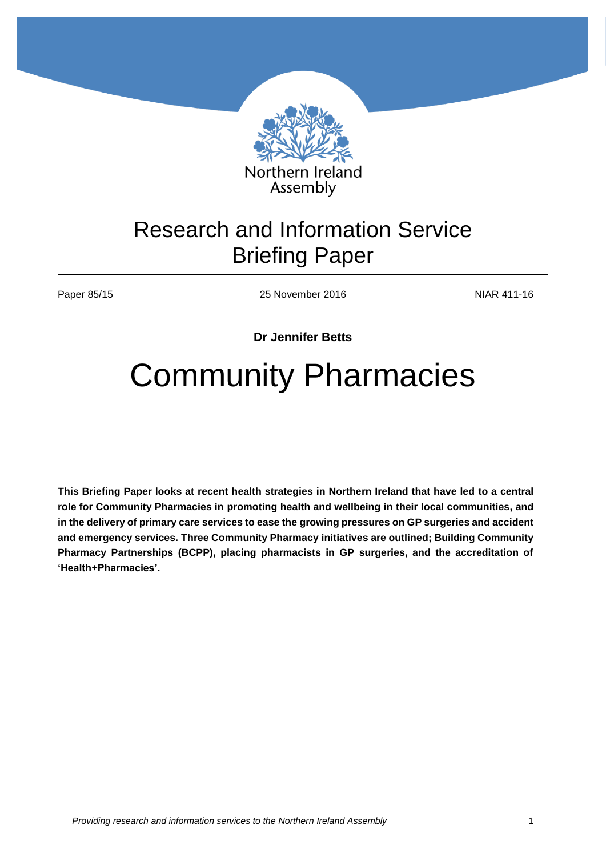

## Research and Information Service Briefing Paper

Paper 85/15 25 November 2016 2016

**Dr Jennifer Betts**

# Community Pharmacies

**This Briefing Paper looks at recent health strategies in Northern Ireland that have led to a central role for Community Pharmacies in promoting health and wellbeing in their local communities, and in the delivery of primary care services to ease the growing pressures on GP surgeries and accident and emergency services. Three Community Pharmacy initiatives are outlined; Building Community Pharmacy Partnerships (BCPP), placing pharmacists in GP surgeries, and the accreditation of 'Health+Pharmacies'.**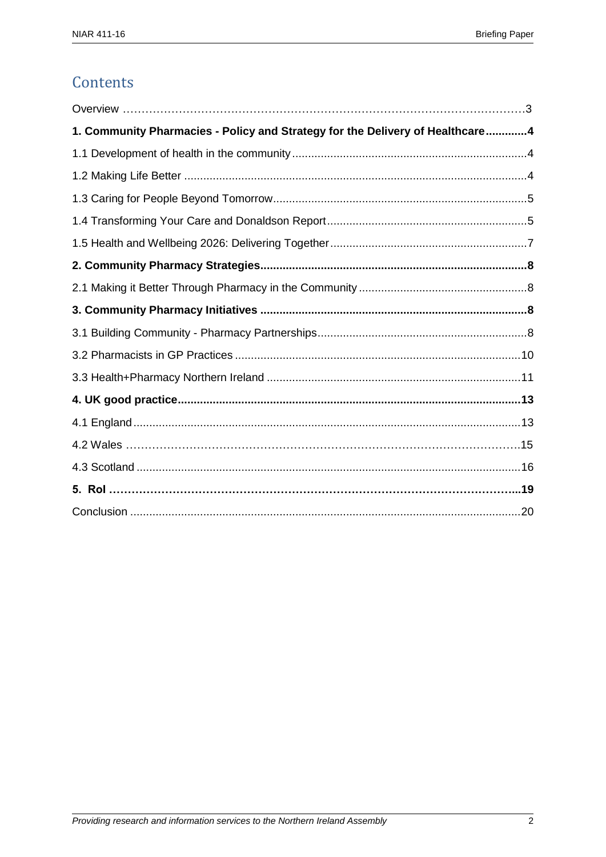## Contents

| 1. Community Pharmacies - Policy and Strategy for the Delivery of Healthcare4 |  |
|-------------------------------------------------------------------------------|--|
|                                                                               |  |
|                                                                               |  |
|                                                                               |  |
|                                                                               |  |
|                                                                               |  |
|                                                                               |  |
|                                                                               |  |
|                                                                               |  |
|                                                                               |  |
|                                                                               |  |
|                                                                               |  |
|                                                                               |  |
|                                                                               |  |
|                                                                               |  |
|                                                                               |  |
|                                                                               |  |
|                                                                               |  |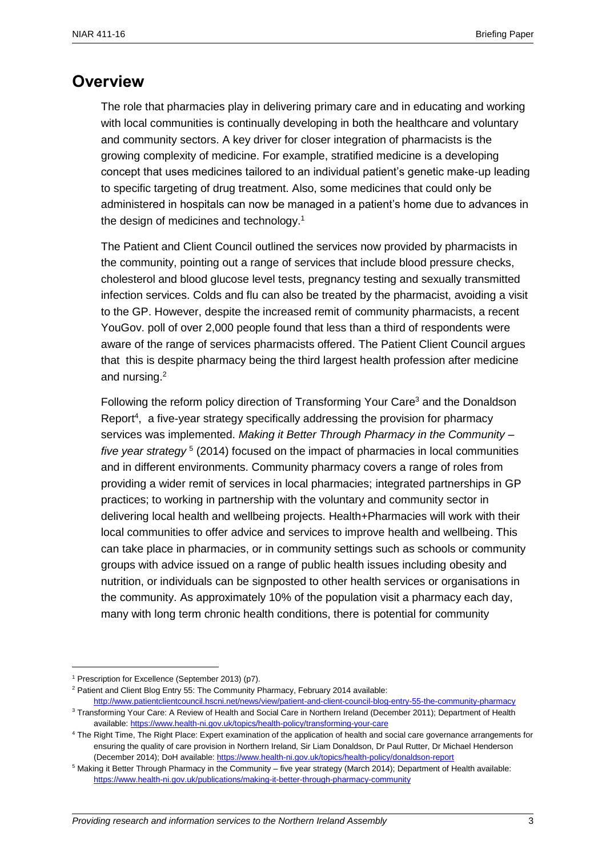#### <span id="page-2-0"></span>**Overview**

The role that pharmacies play in delivering primary care and in educating and working with local communities is continually developing in both the healthcare and voluntary and community sectors. A key driver for closer integration of pharmacists is the growing complexity of medicine. For example, stratified medicine is a developing concept that uses medicines tailored to an individual patient's genetic make-up leading to specific targeting of drug treatment. Also, some medicines that could only be administered in hospitals can now be managed in a patient's home due to advances in the design of medicines and technology.<sup>1</sup>

The Patient and Client Council outlined the services now provided by pharmacists in the community, pointing out a range of services that include blood pressure checks, cholesterol and blood glucose level tests, pregnancy testing and sexually transmitted infection services. Colds and flu can also be treated by the pharmacist, avoiding a visit to the GP. However, despite the increased remit of community pharmacists, a recent YouGov. poll of over 2,000 people found that less than a third of respondents were aware of the range of services pharmacists offered. The Patient Client Council argues that this is despite pharmacy being the third largest health profession after medicine and nursing.<sup>2</sup>

Following the reform policy direction of Transforming Your Care<sup>3</sup> and the Donaldson Report<sup>4</sup>, a five-year strategy specifically addressing the provision for pharmacy services was implemented. *Making it Better Through Pharmacy in the Community –* five year strategy<sup>5</sup> (2014) focused on the impact of pharmacies in local communities and in different environments. Community pharmacy covers a range of roles from providing a wider remit of services in local pharmacies; integrated partnerships in GP practices; to working in partnership with the voluntary and community sector in delivering local health and wellbeing projects. Health+Pharmacies will work with their local communities to offer advice and services to improve health and wellbeing. This can take place in pharmacies, or in community settings such as schools or community groups with advice issued on a range of public health issues including obesity and nutrition, or individuals can be signposted to other health services or organisations in the community. As approximately 10% of the population visit a pharmacy each day, many with long term chronic health conditions, there is potential for community

<sup>1</sup> Prescription for Excellence (September 2013) (p7).

<sup>&</sup>lt;sup>2</sup> Patient and Client Blog Entry 55: The Community Pharmacy, February 2014 available:

<http://www.patientclientcouncil.hscni.net/news/view/patient-and-client-council-blog-entry-55-the-community-pharmacy> <sup>3</sup> Transforming Your Care: A Review of Health and Social Care in Northern Ireland (December 2011); Department of Health available:<https://www.health-ni.gov.uk/topics/health-policy/transforming-your-care>

<sup>4</sup> The Right Time, The Right Place: Expert examination of the application of health and social care governance arrangements for ensuring the quality of care provision in Northern Ireland, Sir Liam Donaldson, Dr Paul Rutter, Dr Michael Henderson (December 2014); DoH available:<https://www.health-ni.gov.uk/topics/health-policy/donaldson-report>

<sup>5</sup> Making it Better Through Pharmacy in the Community – five year strategy (March 2014); Department of Health available: <https://www.health-ni.gov.uk/publications/making-it-better-through-pharmacy-community>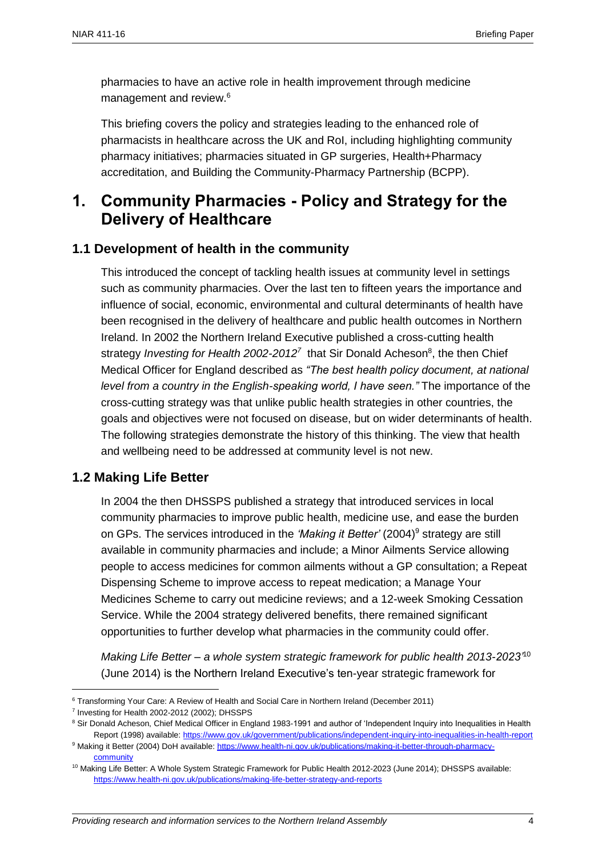pharmacies to have an active role in health improvement through medicine management and review.<sup>6</sup>

This briefing covers the policy and strategies leading to the enhanced role of pharmacists in healthcare across the UK and RoI, including highlighting community pharmacy initiatives; pharmacies situated in GP surgeries, Health+Pharmacy accreditation, and Building the Community-Pharmacy Partnership (BCPP).

## <span id="page-3-0"></span>**1. Community Pharmacies - Policy and Strategy for the Delivery of Healthcare**

#### <span id="page-3-1"></span>**1.1 Development of health in the community**

This introduced the concept of tackling health issues at community level in settings such as community pharmacies. Over the last ten to fifteen years the importance and influence of social, economic, environmental and cultural determinants of health have been recognised in the delivery of healthcare and public health outcomes in Northern Ireland. In 2002 the Northern Ireland Executive published a cross-cutting health strategy *Investing for Health 2002-2012*<sup>7</sup> that Sir Donald Acheson<sup>8</sup>, the then Chief Medical Officer for England described as *"The best health policy document, at national level from a country in the English-speaking world, I have seen."* The importance of the cross-cutting strategy was that unlike public health strategies in other countries, the goals and objectives were not focused on disease, but on wider determinants of health. The following strategies demonstrate the history of this thinking. The view that health and wellbeing need to be addressed at community level is not new.

#### <span id="page-3-2"></span>**1.2 Making Life Better**

In 2004 the then DHSSPS published a strategy that introduced services in local community pharmacies to improve public health, medicine use, and ease the burden on GPs. The services introduced in the 'Making it Better' (2004)<sup>9</sup> strategy are still available in community pharmacies and include; a Minor Ailments Service allowing people to access medicines for common ailments without a GP consultation; a Repeat Dispensing Scheme to improve access to repeat medication; a Manage Your Medicines Scheme to carry out medicine reviews; and a 12-week Smoking Cessation Service. While the 2004 strategy delivered benefits, there remained significant opportunities to further develop what pharmacies in the community could offer.

*Making Life Better – a whole system strategic framework for public health 2013-2023'*<sup>10</sup> (June 2014) is the Northern Ireland Executive's ten-year strategic framework for

<sup>6</sup> Transforming Your Care: A Review of Health and Social Care in Northern Ireland (December 2011)

<sup>&</sup>lt;sup>7</sup> Investing for Health 2002-2012 (2002); DHSSPS

<sup>8</sup> Sir Donald Acheson, Chief Medical Officer in England 1983-1991 and author of 'Independent Inquiry into Inequalities in Health Report (1998) available:<https://www.gov.uk/government/publications/independent-inquiry-into-inequalities-in-health-report>

<sup>9</sup> Making it Better (2004) DoH available[: https://www.health-ni.gov.uk/publications/making-it-better-through-pharmacy](https://www.health-ni.gov.uk/publications/making-it-better-through-pharmacy-community)[community](https://www.health-ni.gov.uk/publications/making-it-better-through-pharmacy-community)

<sup>&</sup>lt;sup>10</sup> Making Life Better: A Whole System Strategic Framework for Public Health 2012-2023 (June 2014); DHSSPS available: <https://www.health-ni.gov.uk/publications/making-life-better-strategy-and-reports>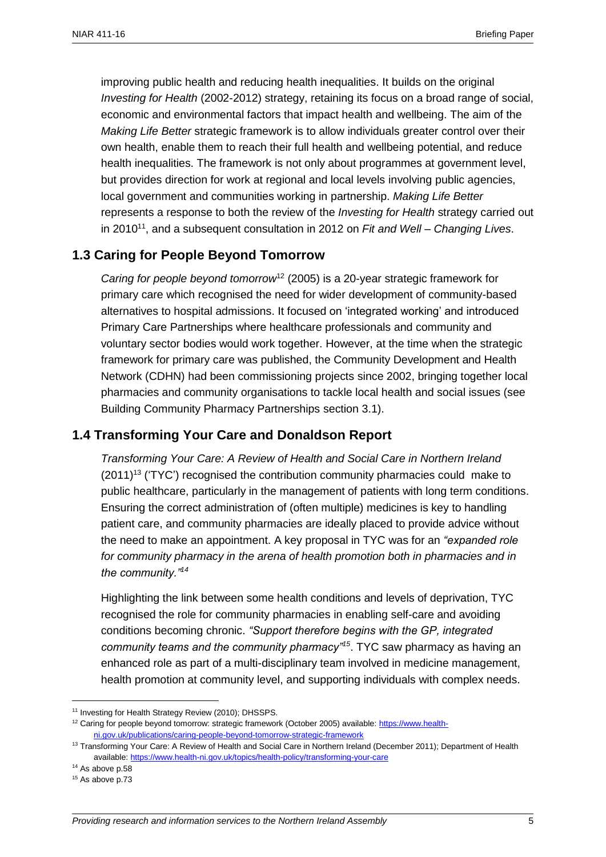improving public health and reducing health inequalities. It builds on the original *Investing for Health* (2002-2012) strategy, retaining its focus on a broad range of social, economic and environmental factors that impact health and wellbeing. The aim of the *Making Life Better* strategic framework is to allow individuals greater control over their own health, enable them to reach their full health and wellbeing potential, and reduce health inequalities. The framework is not only about programmes at government level, but provides direction for work at regional and local levels involving public agencies, local government and communities working in partnership. *Making Life Better*  represents a response to both the review of the *Investing for Health* strategy carried out in 2010<sup>11</sup>, and a subsequent consultation in 2012 on *Fit and Well – Changing Lives*.

#### <span id="page-4-0"></span>**1.3 Caring for People Beyond Tomorrow**

*Caring for people beyond tomorrow*<sup>12</sup> (2005) is a 20-year strategic framework for primary care which recognised the need for wider development of community-based alternatives to hospital admissions. It focused on 'integrated working' and introduced Primary Care Partnerships where healthcare professionals and community and voluntary sector bodies would work together. However, at the time when the strategic framework for primary care was published, the Community Development and Health Network (CDHN) had been commissioning projects since 2002, bringing together local pharmacies and community organisations to tackle local health and social issues (see Building Community Pharmacy Partnerships section 3.1).

#### <span id="page-4-1"></span>**1.4 Transforming Your Care and Donaldson Report**

*Transforming Your Care: A Review of Health and Social Care in Northern Ireland*  (2011)<sup>13</sup> ('TYC') recognised the contribution community pharmacies could make to public healthcare, particularly in the management of patients with long term conditions. Ensuring the correct administration of (often multiple) medicines is key to handling patient care, and community pharmacies are ideally placed to provide advice without the need to make an appointment. A key proposal in TYC was for an *"expanded role for community pharmacy in the arena of health promotion both in pharmacies and in the community."<sup>14</sup>*

Highlighting the link between some health conditions and levels of deprivation, TYC recognised the role for community pharmacies in enabling self-care and avoiding conditions becoming chronic. *"Support therefore begins with the GP, integrated community teams and the community pharmacy"<sup>15</sup>*. TYC saw pharmacy as having an enhanced role as part of a multi-disciplinary team involved in medicine management, health promotion at community level, and supporting individuals with complex needs.

 $\overline{a}$ 

*Providing research and information services to the Northern Ireland Assembly* 5

<sup>&</sup>lt;sup>11</sup> Investing for Health Strategy Review (2010): DHSSPS.

<sup>12</sup> Caring for people beyond tomorrow: strategic framework (October 2005) available[: https://www.health](https://www.health-ni.gov.uk/publications/caring-people-beyond-tomorrow-strategic-framework)[ni.gov.uk/publications/caring-people-beyond-tomorrow-strategic-framework](https://www.health-ni.gov.uk/publications/caring-people-beyond-tomorrow-strategic-framework)

<sup>&</sup>lt;sup>13</sup> Transforming Your Care: A Review of Health and Social Care in Northern Ireland (December 2011); Department of Health available:<https://www.health-ni.gov.uk/topics/health-policy/transforming-your-care>

<sup>&</sup>lt;sup>14</sup> As above p.58

<sup>&</sup>lt;sup>15</sup> As above p.73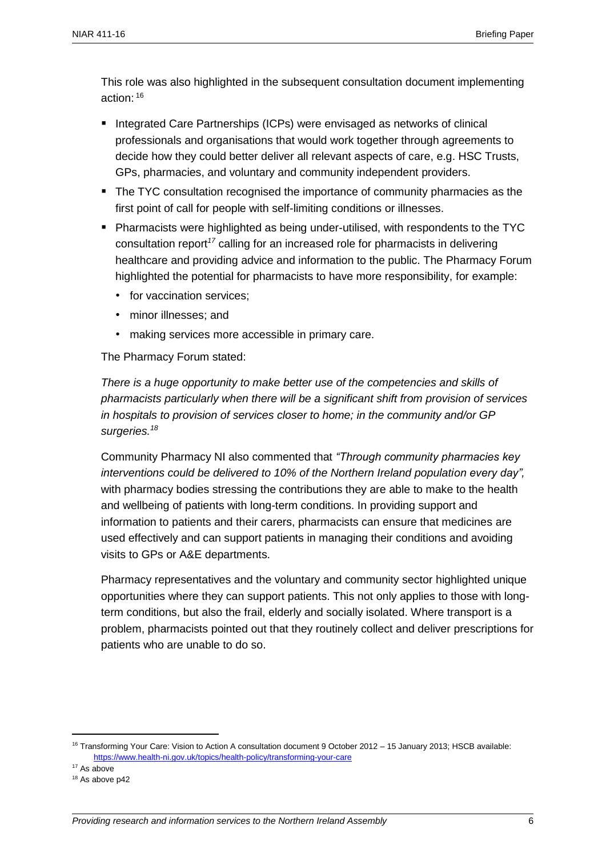This role was also highlighted in the subsequent consultation document implementing action:  $16$ 

- Integrated Care Partnerships (ICPs) were envisaged as networks of clinical professionals and organisations that would work together through agreements to decide how they could better deliver all relevant aspects of care, e.g. HSC Trusts, GPs, pharmacies, and voluntary and community independent providers.
- **The TYC consultation recognised the importance of community pharmacies as the** first point of call for people with self-limiting conditions or illnesses.
- Pharmacists were highlighted as being under-utilised, with respondents to the TYC consultation report*<sup>17</sup>* calling for an increased role for pharmacists in delivering healthcare and providing advice and information to the public. The Pharmacy Forum highlighted the potential for pharmacists to have more responsibility, for example:
	- for vaccination services:
	- minor illnesses; and
	- making services more accessible in primary care.

The Pharmacy Forum stated:

*There is a huge opportunity to make better use of the competencies and skills of pharmacists particularly when there will be a significant shift from provision of services in hospitals to provision of services closer to home; in the community and/or GP surgeries.<sup>18</sup>*

Community Pharmacy NI also commented that *"Through community pharmacies key interventions could be delivered to 10% of the Northern Ireland population every day",*  with pharmacy bodies stressing the contributions they are able to make to the health and wellbeing of patients with long-term conditions. In providing support and information to patients and their carers, pharmacists can ensure that medicines are used effectively and can support patients in managing their conditions and avoiding visits to GPs or A&E departments.

Pharmacy representatives and the voluntary and community sector highlighted unique opportunities where they can support patients. This not only applies to those with longterm conditions, but also the frail, elderly and socially isolated. Where transport is a problem, pharmacists pointed out that they routinely collect and deliver prescriptions for patients who are unable to do so.

<sup>16</sup> Transforming Your Care: Vision to Action A consultation document 9 October 2012 – 15 January 2013; HSCB available: <https://www.health-ni.gov.uk/topics/health-policy/transforming-your-care>

<sup>&</sup>lt;sup>17</sup> As above

<sup>&</sup>lt;sup>18</sup> As above p42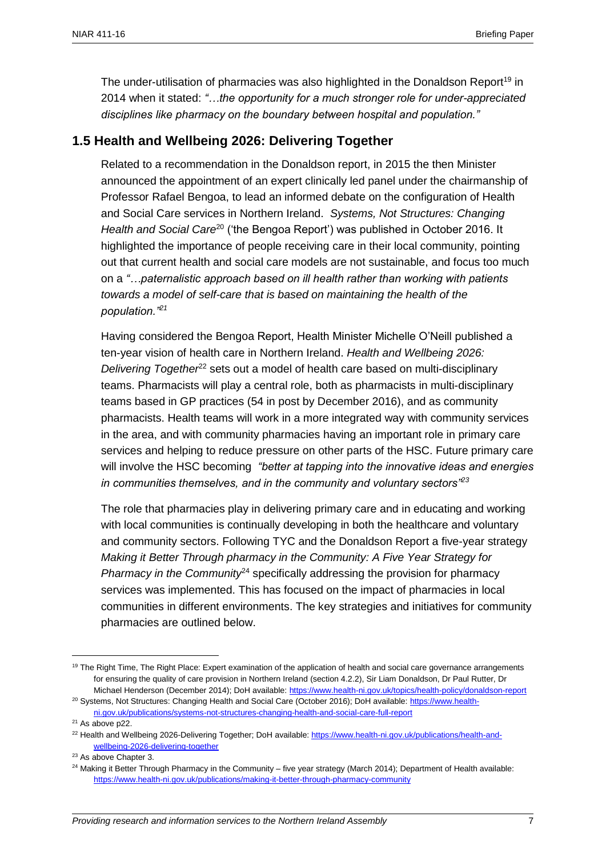The under-utilisation of pharmacies was also highlighted in the Donaldson Report<sup>19</sup> in 2014 when it stated: *"…the opportunity for a much stronger role for under-appreciated disciplines like pharmacy on the boundary between hospital and population."* 

#### <span id="page-6-0"></span>**1.5 Health and Wellbeing 2026: Delivering Together**

Related to a recommendation in the Donaldson report, in 2015 the then Minister announced the appointment of an expert clinically led panel under the chairmanship of Professor Rafael Bengoa, to lead an informed debate on the configuration of Health and Social Care services in Northern Ireland. *Systems, Not Structures: Changing Health and Social Care*<sup>20</sup> ('the Bengoa Report') was published in October 2016. It highlighted the importance of people receiving care in their local community, pointing out that current health and social care models are not sustainable, and focus too much on a *"…paternalistic approach based on ill health rather than working with patients towards a model of self-care that is based on maintaining the health of the population."<sup>21</sup>*

Having considered the Bengoa Report, Health Minister Michelle O'Neill published a ten-year vision of health care in Northern Ireland. *Health and Wellbeing 2026: Delivering Together<sup>22</sup>* sets out a model of health care based on multi-disciplinary teams. Pharmacists will play a central role, both as pharmacists in multi-disciplinary teams based in GP practices (54 in post by December 2016), and as community pharmacists. Health teams will work in a more integrated way with community services in the area, and with community pharmacies having an important role in primary care services and helping to reduce pressure on other parts of the HSC. Future primary care will involve the HSC becoming *"better at tapping into the innovative ideas and energies in communities themselves, and in the community and voluntary sectors"<sup>23</sup>*

The role that pharmacies play in delivering primary care and in educating and working with local communities is continually developing in both the healthcare and voluntary and community sectors. Following TYC and the Donaldson Report a five-year strategy *Making it Better Through pharmacy in the Community: A Five Year Strategy for Pharmacy in the Community*<sup>24</sup> specifically addressing the provision for pharmacy services was implemented. This has focused on the impact of pharmacies in local communities in different environments. The key strategies and initiatives for community pharmacies are outlined below.

<sup>&</sup>lt;sup>19</sup> The Right Time, The Right Place: Expert examination of the application of health and social care governance arrangements for ensuring the quality of care provision in Northern Ireland (section 4.2.2), Sir Liam Donaldson, Dr Paul Rutter, Dr Michael Henderson (December 2014); DoH available:<https://www.health-ni.gov.uk/topics/health-policy/donaldson-report> <sup>20</sup> Systems, Not Structures: Changing Health and Social Care (October 2016); DoH available: [https://www.health-](https://www.health-ni.gov.uk/publications/systems-not-structures-changing-health-and-social-care-full-report)

[ni.gov.uk/publications/systems-not-structures-changing-health-and-social-care-full-report](https://www.health-ni.gov.uk/publications/systems-not-structures-changing-health-and-social-care-full-report)

<sup>&</sup>lt;sup>21</sup> As above p22.

<sup>&</sup>lt;sup>22</sup> Health and Wellbeing 2026-Delivering Together; DoH available: [https://www.health-ni.gov.uk/publications/health-and](https://www.health-ni.gov.uk/publications/health-and-wellbeing-2026-delivering-together)[wellbeing-2026-delivering-together](https://www.health-ni.gov.uk/publications/health-and-wellbeing-2026-delivering-together)

<sup>&</sup>lt;sup>23</sup> As above Chapter 3.

 $24$  Making it Better Through Pharmacy in the Community – five year strategy (March 2014); Department of Health available: <https://www.health-ni.gov.uk/publications/making-it-better-through-pharmacy-community>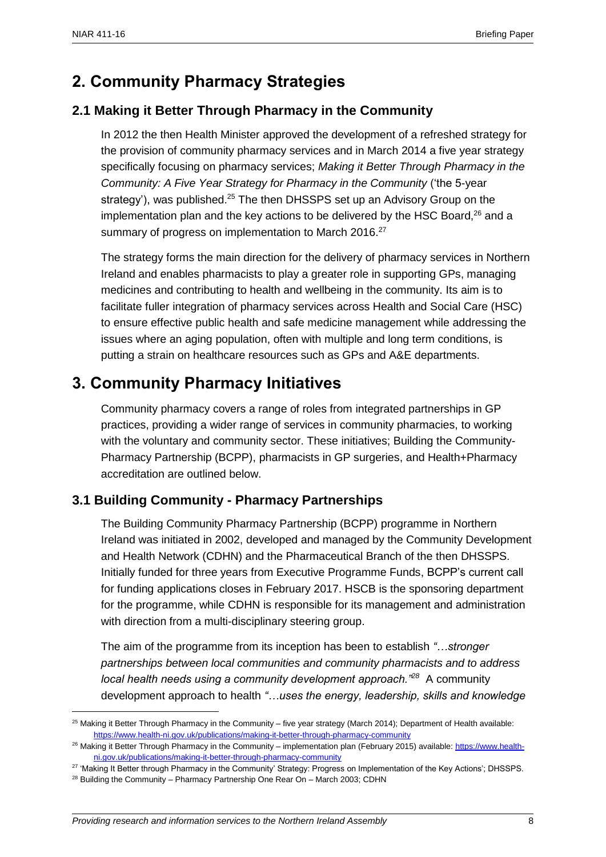## <span id="page-7-0"></span>**2. Community Pharmacy Strategies**

#### <span id="page-7-1"></span>**2.1 Making it Better Through Pharmacy in the Community**

In 2012 the then Health Minister approved the development of a refreshed strategy for the provision of community pharmacy services and in March 2014 a five year strategy specifically focusing on pharmacy services; *Making it Better Through Pharmacy in the Community: A Five Year Strategy for Pharmacy in the Community* ('the 5-year strategy'), was published.<sup>25</sup> The then DHSSPS set up an Advisory Group on the implementation plan and the key actions to be delivered by the HSC Board, $^{26}$  and a summary of progress on implementation to March 2016.<sup>27</sup>

The strategy forms the main direction for the delivery of pharmacy services in Northern Ireland and enables pharmacists to play a greater role in supporting GPs, managing medicines and contributing to health and wellbeing in the community. Its aim is to facilitate fuller integration of pharmacy services across Health and Social Care (HSC) to ensure effective public health and safe medicine management while addressing the issues where an aging population, often with multiple and long term conditions, is putting a strain on healthcare resources such as GPs and A&E departments.

## <span id="page-7-2"></span>**3. Community Pharmacy Initiatives**

Community pharmacy covers a range of roles from integrated partnerships in GP practices, providing a wider range of services in community pharmacies, to working with the voluntary and community sector. These initiatives; Building the Community-Pharmacy Partnership (BCPP), pharmacists in GP surgeries, and Health+Pharmacy accreditation are outlined below.

#### <span id="page-7-3"></span>**3.1 Building Community - Pharmacy Partnerships**

The Building Community Pharmacy Partnership (BCPP) programme in Northern Ireland was initiated in 2002, developed and managed by the Community Development and Health Network (CDHN) and the Pharmaceutical Branch of the then DHSSPS. Initially funded for three years from Executive Programme Funds, BCPP's current call for funding applications closes in February 2017. HSCB is the sponsoring department for the programme, while CDHN is responsible for its management and administration with direction from a multi-disciplinary steering group.

The aim of the programme from its inception has been to establish *"…stronger partnerships between local communities and community pharmacists and to address local health needs using a community development approach."<sup>28</sup>* A community development approach to health *"…uses the energy, leadership, skills and knowledge* 

 $\overline{a}$  $25$  Making it Better Through Pharmacy in the Community – five year strategy (March 2014); Department of Health available: <https://www.health-ni.gov.uk/publications/making-it-better-through-pharmacy-community>

<sup>&</sup>lt;sup>26</sup> Making it Better Through Pharmacy in the Community – implementation plan (February 2015) available[: https://www.health](https://www.health-ni.gov.uk/publications/making-it-better-through-pharmacy-community)[ni.gov.uk/publications/making-it-better-through-pharmacy-community](https://www.health-ni.gov.uk/publications/making-it-better-through-pharmacy-community)

<sup>&</sup>lt;sup>27</sup> 'Making It Better through Pharmacy in the Community' Strategy: Progress on Implementation of the Key Actions': DHSSPS.

<sup>&</sup>lt;sup>28</sup> Building the Community – Pharmacy Partnership One Rear On – March 2003; CDHN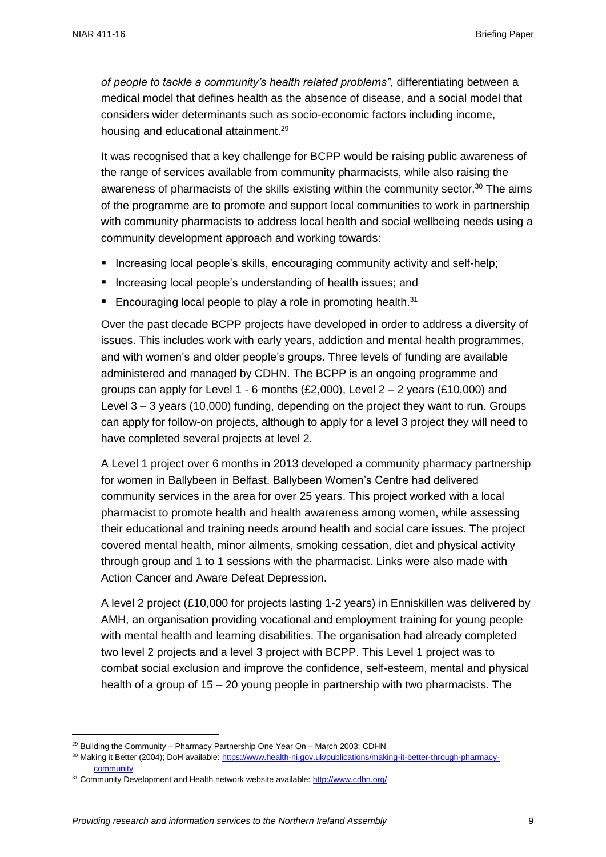*of people to tackle a community's health related problems",* differentiating between a medical model that defines health as the absence of disease, and a social model that considers wider determinants such as socio-economic factors including income, housing and educational attainment.<sup>29</sup>

It was recognised that a key challenge for BCPP would be raising public awareness of the range of services available from community pharmacists, while also raising the awareness of pharmacists of the skills existing within the community sector.<sup>30</sup> The aims of the programme are to promote and support local communities to work in partnership with community pharmacists to address local health and social wellbeing needs using a community development approach and working towards:

- **Increasing local people's skills, encouraging community activity and self-help;**
- **If** Increasing local people's understanding of health issues; and
- Encouraging local people to play a role in promoting health.<sup>31</sup>

Over the past decade BCPP projects have developed in order to address a diversity of issues. This includes work with early years, addiction and mental health programmes, and with women's and older people's groups. Three levels of funding are available administered and managed by CDHN. The BCPP is an ongoing programme and groups can apply for Level 1 - 6 months  $(E2,000)$ , Level 2 – 2 years  $(E10,000)$  and Level 3 – 3 years (10,000) funding, depending on the project they want to run. Groups can apply for follow-on projects, although to apply for a level 3 project they will need to have completed several projects at level 2.

A Level 1 project over 6 months in 2013 developed a community pharmacy partnership for women in Ballybeen in Belfast. Ballybeen Women's Centre had delivered community services in the area for over 25 years. This project worked with a local pharmacist to promote health and health awareness among women, while assessing their educational and training needs around health and social care issues. The project covered mental health, minor ailments, smoking cessation, diet and physical activity through group and 1 to 1 sessions with the pharmacist. Links were also made with Action Cancer and Aware Defeat Depression.

A level 2 project (£10,000 for projects lasting 1-2 years) in Enniskillen was delivered by AMH, an organisation providing vocational and employment training for young people with mental health and learning disabilities. The organisation had already completed two level 2 projects and a level 3 project with BCPP. This Level 1 project was to combat social exclusion and improve the confidence, self-esteem, mental and physical health of a group of 15 – 20 young people in partnership with two pharmacists. The

 $29$  Building the Community – Pharmacy Partnership One Year On – March 2003; CDHN

<sup>30</sup> Making it Better (2004); DoH available[: https://www.health-ni.gov.uk/publications/making-it-better-through-pharmacy](https://www.health-ni.gov.uk/publications/making-it-better-through-pharmacy-community)[community](https://www.health-ni.gov.uk/publications/making-it-better-through-pharmacy-community)

<sup>&</sup>lt;sup>31</sup> Community Development and Health network website available:<http://www.cdhn.org/>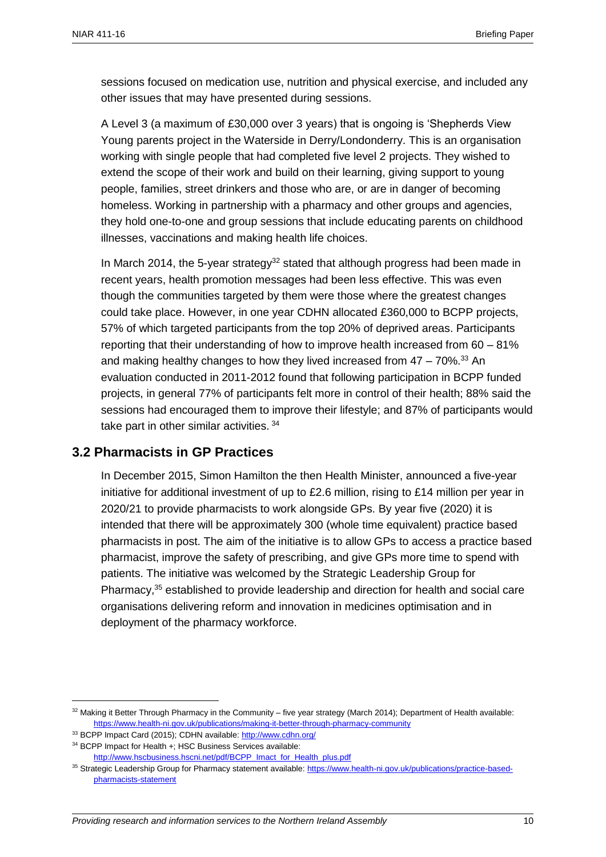sessions focused on medication use, nutrition and physical exercise, and included any other issues that may have presented during sessions.

A Level 3 (a maximum of £30,000 over 3 years) that is ongoing is 'Shepherds View Young parents project in the Waterside in Derry/Londonderry. This is an organisation working with single people that had completed five level 2 projects. They wished to extend the scope of their work and build on their learning, giving support to young people, families, street drinkers and those who are, or are in danger of becoming homeless. Working in partnership with a pharmacy and other groups and agencies, they hold one-to-one and group sessions that include educating parents on childhood illnesses, vaccinations and making health life choices.

In March 2014, the 5-year strategy<sup>32</sup> stated that although progress had been made in recent years, health promotion messages had been less effective. This was even though the communities targeted by them were those where the greatest changes could take place. However, in one year CDHN allocated £360,000 to BCPP projects, 57% of which targeted participants from the top 20% of deprived areas. Participants reporting that their understanding of how to improve health increased from 60 – 81% and making healthy changes to how they lived increased from  $47 - 70\%$ .<sup>33</sup> An evaluation conducted in 2011-2012 found that following participation in BCPP funded projects, in general 77% of participants felt more in control of their health; 88% said the sessions had encouraged them to improve their lifestyle; and 87% of participants would take part in other similar activities. <sup>34</sup>

#### <span id="page-9-0"></span>**3.2 Pharmacists in GP Practices**

In December 2015, Simon Hamilton the then Health Minister, announced a five-year initiative for additional investment of up to £2.6 million, rising to £14 million per year in 2020/21 to provide pharmacists to work alongside GPs. By year five (2020) it is intended that there will be approximately 300 (whole time equivalent) practice based pharmacists in post. The aim of the initiative is to allow GPs to access a practice based pharmacist, improve the safety of prescribing, and give GPs more time to spend with patients. The initiative was welcomed by the Strategic Leadership Group for Pharmacy,<sup>35</sup> established to provide leadership and direction for health and social care organisations delivering reform and innovation in medicines optimisation and in deployment of the pharmacy workforce.

 $32$  Making it Better Through Pharmacy in the Community – five year strategy (March 2014); Department of Health available: <https://www.health-ni.gov.uk/publications/making-it-better-through-pharmacy-community>

<sup>33</sup> BCPP Impact Card (2015); CDHN available: <http://www.cdhn.org/>

<sup>34</sup> BCPP Impact for Health +; HSC Business Services available: [http://www.hscbusiness.hscni.net/pdf/BCPP\\_Imact\\_for\\_Health\\_plus.pdf](http://www.hscbusiness.hscni.net/pdf/BCPP_Imact_for_Health_plus.pdf)

<sup>35</sup> Strategic Leadership Group for Pharmacy statement available: [https://www.health-ni.gov.uk/publications/practice-based](https://www.health-ni.gov.uk/publications/practice-based-pharmacists-statement)[pharmacists-statement](https://www.health-ni.gov.uk/publications/practice-based-pharmacists-statement)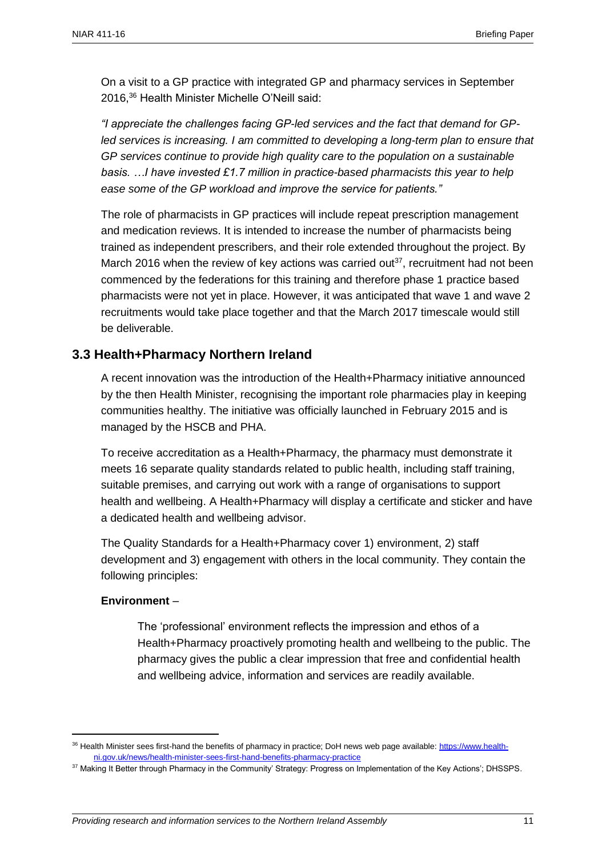On a visit to a GP practice with integrated GP and pharmacy services in September 2016, <sup>36</sup> Health Minister Michelle O'Neill said:

*"I appreciate the challenges facing GP-led services and the fact that demand for GPled services is increasing. I am committed to developing a long-term plan to ensure that GP services continue to provide high quality care to the population on a sustainable basis. …I have invested £1.7 million in practice-based pharmacists this year to help ease some of the GP workload and improve the service for patients."* 

The role of pharmacists in GP practices will include repeat prescription management and medication reviews. It is intended to increase the number of pharmacists being trained as independent prescribers, and their role extended throughout the project. By March 2016 when the review of key actions was carried out $37$ , recruitment had not been commenced by the federations for this training and therefore phase 1 practice based pharmacists were not yet in place. However, it was anticipated that wave 1 and wave 2 recruitments would take place together and that the March 2017 timescale would still be deliverable.

#### <span id="page-10-0"></span>**3.3 Health+Pharmacy Northern Ireland**

A recent innovation was the introduction of the Health+Pharmacy initiative announced by the then Health Minister, recognising the important role pharmacies play in keeping communities healthy. The initiative was officially launched in February 2015 and is managed by the HSCB and PHA.

To receive accreditation as a Health+Pharmacy, the pharmacy must demonstrate it meets 16 separate quality standards related to public health, including staff training, suitable premises, and carrying out work with a range of organisations to support health and wellbeing. A Health+Pharmacy will display a certificate and sticker and have a dedicated health and wellbeing advisor.

The Quality Standards for a Health+Pharmacy cover 1) environment, 2) staff development and 3) engagement with others in the local community. They contain the following principles:

#### **Environment** –

 $\overline{a}$ 

The 'professional' environment reflects the impression and ethos of a Health+Pharmacy proactively promoting health and wellbeing to the public. The pharmacy gives the public a clear impression that free and confidential health and wellbeing advice, information and services are readily available.

<sup>36</sup> Health Minister sees first-hand the benefits of pharmacy in practice; DoH news web page available: [https://www.health](https://www.health-ni.gov.uk/news/health-minister-sees-first-hand-benefits-pharmacy-practice)[ni.gov.uk/news/health-minister-sees-first-hand-benefits-pharmacy-practice](https://www.health-ni.gov.uk/news/health-minister-sees-first-hand-benefits-pharmacy-practice)

<sup>37</sup> Making It Better through Pharmacy in the Community' Strategy: Progress on Implementation of the Key Actions'; DHSSPS.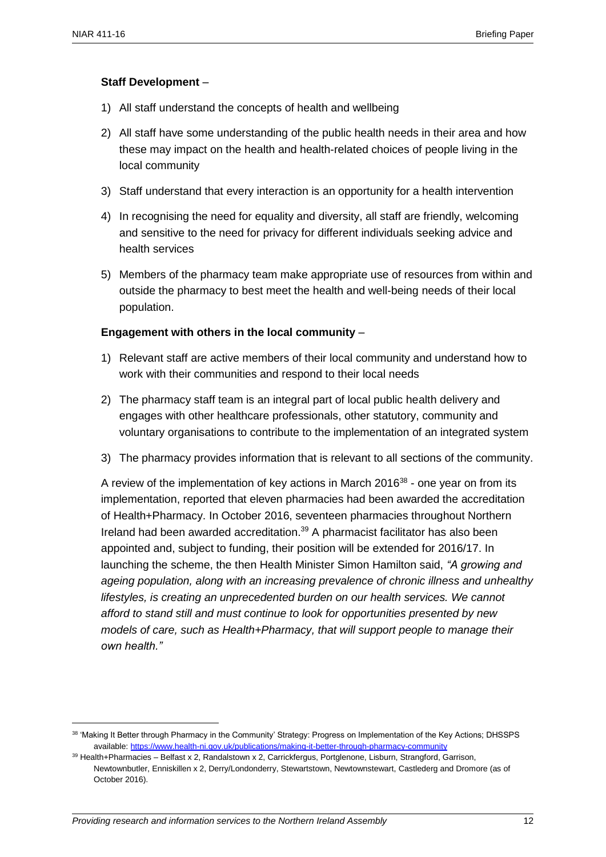$\overline{a}$ 

#### **Staff Development** –

- 1) All staff understand the concepts of health and wellbeing
- 2) All staff have some understanding of the public health needs in their area and how these may impact on the health and health-related choices of people living in the local community
- 3) Staff understand that every interaction is an opportunity for a health intervention
- 4) In recognising the need for equality and diversity, all staff are friendly, welcoming and sensitive to the need for privacy for different individuals seeking advice and health services
- 5) Members of the pharmacy team make appropriate use of resources from within and outside the pharmacy to best meet the health and well-being needs of their local population.

#### **Engagement with others in the local community** –

- 1) Relevant staff are active members of their local community and understand how to work with their communities and respond to their local needs
- 2) The pharmacy staff team is an integral part of local public health delivery and engages with other healthcare professionals, other statutory, community and voluntary organisations to contribute to the implementation of an integrated system
- 3) The pharmacy provides information that is relevant to all sections of the community.

A review of the implementation of key actions in March 2016<sup>38</sup> - one year on from its implementation, reported that eleven pharmacies had been awarded the accreditation of Health+Pharmacy. In October 2016, seventeen pharmacies throughout Northern Ireland had been awarded accreditation.<sup>39</sup> A pharmacist facilitator has also been appointed and, subject to funding, their position will be extended for 2016/17. In launching the scheme, the then Health Minister Simon Hamilton said, *"A growing and ageing population, along with an increasing prevalence of chronic illness and unhealthy lifestyles, is creating an unprecedented burden on our health services. We cannot afford to stand still and must continue to look for opportunities presented by new models of care, such as Health+Pharmacy, that will support people to manage their own health."*

<sup>38</sup> 'Making It Better through Pharmacy in the Community' Strategy: Progress on Implementation of the Key Actions; DHSSPS available:<https://www.health-ni.gov.uk/publications/making-it-better-through-pharmacy-community>

<sup>39</sup> Health+Pharmacies – Belfast x 2, Randalstown x 2, Carrickfergus, Portglenone, Lisburn, Strangford, Garrison, Newtownbutler, Enniskillen x 2, Derry/Londonderry, Stewartstown, Newtownstewart, Castlederg and Dromore (as of October 2016).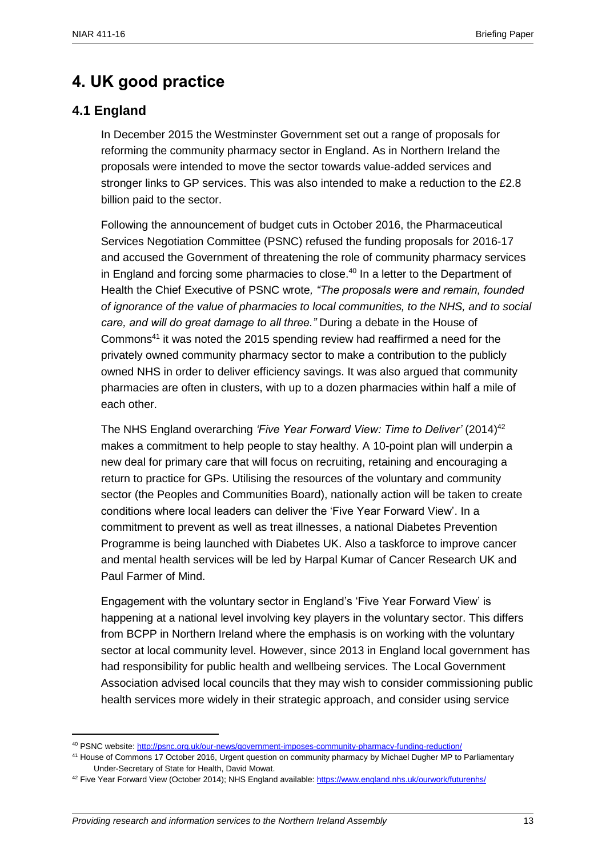## <span id="page-12-0"></span>**4. UK good practice**

#### <span id="page-12-1"></span>**4.1 England**

 $\overline{a}$ 

In December 2015 the Westminster Government set out a range of proposals for reforming the community pharmacy sector in England. As in Northern Ireland the proposals were intended to move the sector towards value-added services and stronger links to GP services. This was also intended to make a reduction to the £2.8 billion paid to the sector.

Following the announcement of budget cuts in October 2016, the Pharmaceutical Services Negotiation Committee (PSNC) refused the funding proposals for 2016-17 and accused the Government of threatening the role of community pharmacy services in England and forcing some pharmacies to close.<sup>40</sup> In a letter to the Department of Health the Chief Executive of PSNC wrote*, "The proposals were and remain, founded of ignorance of the value of pharmacies to local communities, to the NHS, and to social care, and will do great damage to all three."* During a debate in the House of Commons<sup>41</sup> it was noted the 2015 spending review had reaffirmed a need for the privately owned community pharmacy sector to make a contribution to the publicly owned NHS in order to deliver efficiency savings. It was also argued that community pharmacies are often in clusters, with up to a dozen pharmacies within half a mile of each other.

The NHS England overarching *'Five Year Forward View: Time to Deliver'* (2014)<sup>42</sup> makes a commitment to help people to stay healthy. A 10-point plan will underpin a new deal for primary care that will focus on recruiting, retaining and encouraging a return to practice for GPs. Utilising the resources of the voluntary and community sector (the Peoples and Communities Board), nationally action will be taken to create conditions where local leaders can deliver the 'Five Year Forward View'. In a commitment to prevent as well as treat illnesses, a national Diabetes Prevention Programme is being launched with Diabetes UK. Also a taskforce to improve cancer and mental health services will be led by Harpal Kumar of Cancer Research UK and Paul Farmer of Mind.

Engagement with the voluntary sector in England's 'Five Year Forward View' is happening at a national level involving key players in the voluntary sector. This differs from BCPP in Northern Ireland where the emphasis is on working with the voluntary sector at local community level. However, since 2013 in England local government has had responsibility for public health and wellbeing services. The Local Government Association advised local councils that they may wish to consider commissioning public health services more widely in their strategic approach, and consider using service

<sup>40</sup> PSNC website[: http://psnc.org.uk/our-news/government-imposes-community-pharmacy-funding-reduction/](http://psnc.org.uk/our-news/government-imposes-community-pharmacy-funding-reduction/)

<sup>41</sup> House of Commons 17 October 2016, Urgent question on community pharmacy by Michael Dugher MP to Parliamentary Under-Secretary of State for Health, David Mowat.

<sup>&</sup>lt;sup>42</sup> Five Year Forward View (October 2014); NHS England available:<https://www.england.nhs.uk/ourwork/futurenhs/>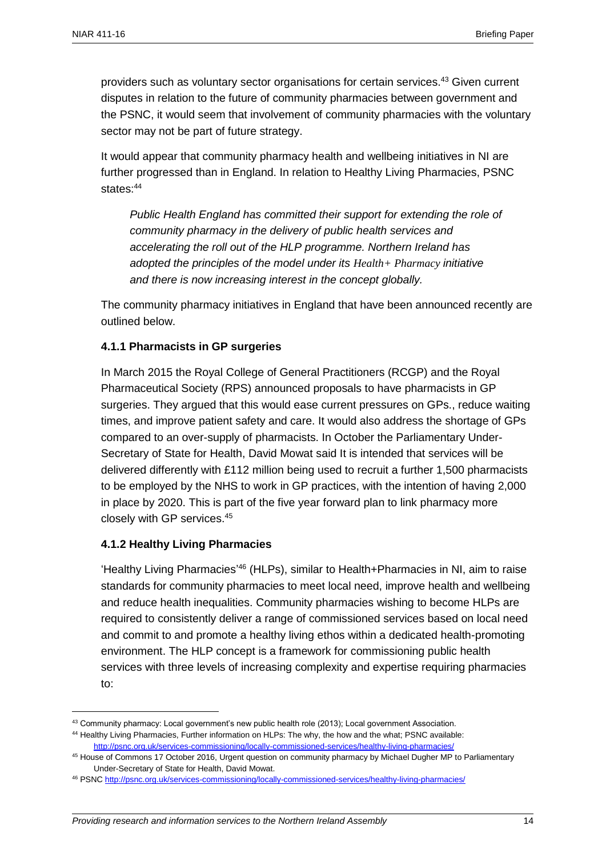providers such as voluntary sector organisations for certain services.<sup>43</sup> Given current disputes in relation to the future of community pharmacies between government and the PSNC, it would seem that involvement of community pharmacies with the voluntary sector may not be part of future strategy.

It would appear that community pharmacy health and wellbeing initiatives in NI are further progressed than in England. In relation to Healthy Living Pharmacies, PSNC states<sup>-44</sup>

*Public Health England has committed their support for extending the role of community pharmacy in the delivery of public health services and accelerating the roll out of the HLP programme. Northern Ireland has adopted the principles of the model under its Health+ Pharmacy initiative and there is now increasing interest in the concept globally.*

The community pharmacy initiatives in England that have been announced recently are outlined below.

#### **4.1.1 Pharmacists in GP surgeries**

In March 2015 the Royal College of General Practitioners (RCGP) and the Royal Pharmaceutical Society (RPS) announced proposals to have pharmacists in GP surgeries. They argued that this would ease current pressures on GPs., reduce waiting times, and improve patient safety and care. It would also address the shortage of GPs compared to an over-supply of pharmacists. In October the Parliamentary Under-Secretary of State for Health, David Mowat said It is intended that services will be delivered differently with £112 million being used to recruit a further 1,500 pharmacists to be employed by the NHS to work in GP practices, with the intention of having 2,000 in place by 2020. This is part of the five year forward plan to link pharmacy more closely with GP services.<sup>45</sup>

#### **4.1.2 Healthy Living Pharmacies**

 $\overline{a}$ 

'Healthy Living Pharmacies' <sup>46</sup> (HLPs), similar to Health+Pharmacies in NI, aim to raise standards for community pharmacies to meet local need, improve health and wellbeing and reduce health inequalities. Community pharmacies wishing to become HLPs are required to consistently deliver a range of commissioned services based on local need and commit to and promote a healthy living ethos within a dedicated health-promoting environment. The HLP concept is a framework for commissioning public health services with three levels of increasing complexity and expertise requiring pharmacies to:

<sup>43</sup> Community pharmacy: Local government's new public health role (2013); Local government Association.

<sup>44</sup> Healthy Living Pharmacies, Further information on HLPs: The why, the how and the what; PSNC available: <http://psnc.org.uk/services-commissioning/locally-commissioned-services/healthy-living-pharmacies/>

<sup>45</sup> House of Commons 17 October 2016, Urgent question on community pharmacy by Michael Dugher MP to Parliamentary Under-Secretary of State for Health, David Mowat.

<sup>46</sup> PSNC<http://psnc.org.uk/services-commissioning/locally-commissioned-services/healthy-living-pharmacies/>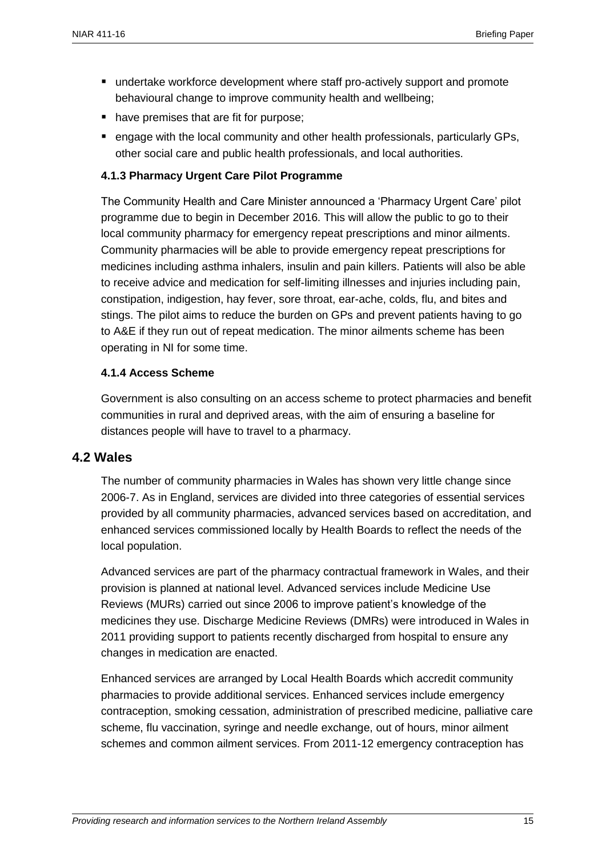- undertake workforce development where staff pro-actively support and promote behavioural change to improve community health and wellbeing;
- have premises that are fit for purpose:
- engage with the local community and other health professionals, particularly GPs, other social care and public health professionals, and local authorities.

#### **4.1.3 Pharmacy Urgent Care Pilot Programme**

The Community Health and Care Minister announced a 'Pharmacy Urgent Care' pilot programme due to begin in December 2016. This will allow the public to go to their local community pharmacy for emergency repeat prescriptions and minor ailments. Community pharmacies will be able to provide emergency repeat prescriptions for medicines including asthma inhalers, insulin and pain killers. Patients will also be able to receive advice and medication for self-limiting illnesses and injuries including pain, constipation, indigestion, hay fever, sore throat, ear-ache, colds, flu, and bites and stings. The pilot aims to reduce the burden on GPs and prevent patients having to go to A&E if they run out of repeat medication. The minor ailments scheme has been operating in NI for some time.

#### **4.1.4 Access Scheme**

Government is also consulting on an access scheme to protect pharmacies and benefit communities in rural and deprived areas, with the aim of ensuring a baseline for distances people will have to travel to a pharmacy.

#### <span id="page-14-0"></span>**4.2 Wales**

The number of community pharmacies in Wales has shown very little change since 2006-7. As in England, services are divided into three categories of essential services provided by all community pharmacies, advanced services based on accreditation, and enhanced services commissioned locally by Health Boards to reflect the needs of the local population.

Advanced services are part of the pharmacy contractual framework in Wales, and their provision is planned at national level. Advanced services include Medicine Use Reviews (MURs) carried out since 2006 to improve patient's knowledge of the medicines they use. Discharge Medicine Reviews (DMRs) were introduced in Wales in 2011 providing support to patients recently discharged from hospital to ensure any changes in medication are enacted.

Enhanced services are arranged by Local Health Boards which accredit community pharmacies to provide additional services. Enhanced services include emergency contraception, smoking cessation, administration of prescribed medicine, palliative care scheme, flu vaccination, syringe and needle exchange, out of hours, minor ailment schemes and common ailment services. From 2011-12 emergency contraception has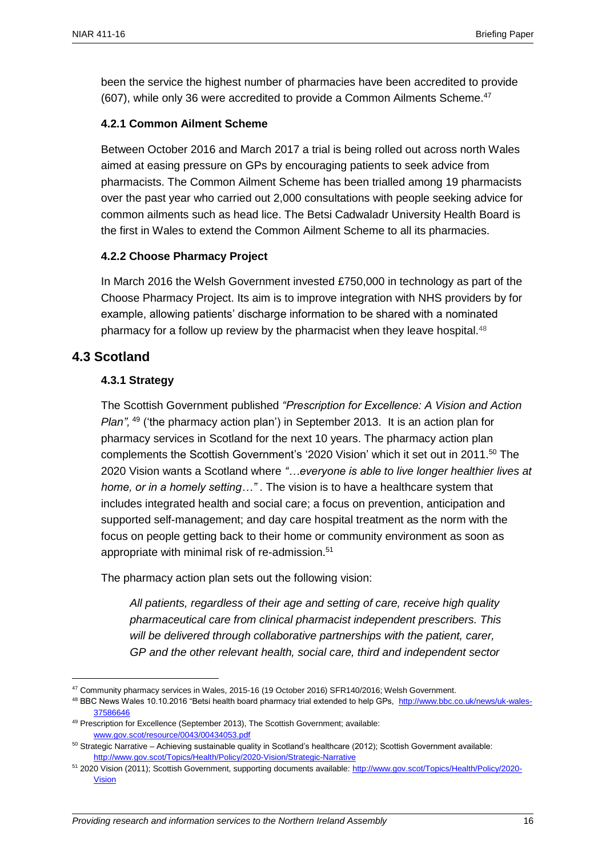been the service the highest number of pharmacies have been accredited to provide (607), while only 36 were accredited to provide a Common Ailments Scheme. 47

#### **4.2.1 Common Ailment Scheme**

Between October 2016 and March 2017 a trial is being rolled out across north Wales aimed at easing pressure on GPs by encouraging patients to seek advice from pharmacists. The Common Ailment Scheme has been trialled among 19 pharmacists over the past year who carried out 2,000 consultations with people seeking advice for common ailments such as head lice. The Betsi Cadwaladr University Health Board is the first in Wales to extend the Common Ailment Scheme to all its pharmacies.

#### **4.2.2 Choose Pharmacy Project**

In March 2016 the Welsh Government invested £750,000 in technology as part of the Choose Pharmacy Project. Its aim is to improve integration with NHS providers by for example, allowing patients' discharge information to be shared with a nominated pharmacy for a follow up review by the pharmacist when they leave hospital.<sup>48</sup>

#### <span id="page-15-0"></span>**4.3 Scotland**

 $\overline{a}$ 

#### **4.3.1 Strategy**

The Scottish Government published *"Prescription for Excellence: A Vision and Action Plan",* <sup>49</sup> ('the pharmacy action plan') in September 2013. It is an action plan for pharmacy services in Scotland for the next 10 years. The pharmacy action plan complements the Scottish Government's '2020 Vision' which it set out in 2011. <sup>50</sup> The 2020 Vision wants a Scotland where *"…everyone is able to live longer healthier lives at home, or in a homely setting…"* . The vision is to have a healthcare system that includes integrated health and social care; a focus on prevention, anticipation and supported self-management; and day care hospital treatment as the norm with the focus on people getting back to their home or community environment as soon as appropriate with minimal risk of re-admission.<sup>51</sup>

The pharmacy action plan sets out the following vision:

*All patients, regardless of their age and setting of care, receive high quality pharmaceutical care from clinical pharmacist independent prescribers. This*  will be delivered through collaborative partnerships with the patient, carer, *GP and the other relevant health, social care, third and independent sector* 

<sup>47</sup> Community pharmacy services in Wales, 2015-16 (19 October 2016) SFR140/2016; Welsh Government.

<sup>48</sup> BBC News Wales 10.10.2016 "Betsi health board pharmacy trial extended to help GPs, [http://www.bbc.co.uk/news/uk-wales-](http://www.bbc.co.uk/news/uk-wales-37586646)[37586646](http://www.bbc.co.uk/news/uk-wales-37586646)

<sup>49</sup> Prescription for Excellence (September 2013), The Scottish Government; available: [www.gov.scot/resource/0043/00434053.pdf](http://www.gov.scot/resource/0043/00434053.pdf)

 $50$  Strategic Narrative – Achieving sustainable quality in Scotland's healthcare (2012); Scottish Government available: <http://www.gov.scot/Topics/Health/Policy/2020-Vision/Strategic-Narrative>

<sup>51</sup> 2020 Vision (2011); Scottish Government, supporting documents available: [http://www.gov.scot/Topics/Health/Policy/2020-](http://www.gov.scot/Topics/Health/Policy/2020-Vision) **[Vision](http://www.gov.scot/Topics/Health/Policy/2020-Vision)**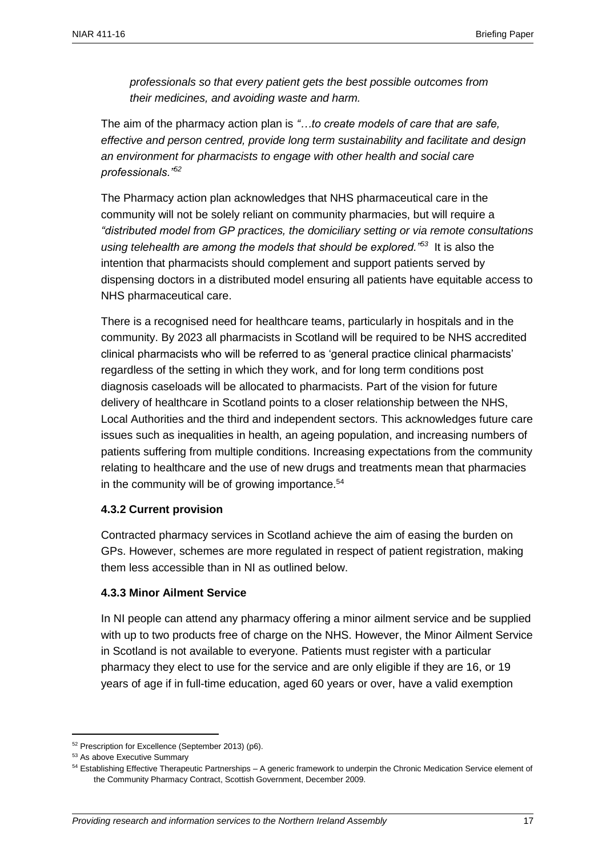*professionals so that every patient gets the best possible outcomes from their medicines, and avoiding waste and harm.*

The aim of the pharmacy action plan is *"…to create models of care that are safe, effective and person centred, provide long term sustainability and facilitate and design an environment for pharmacists to engage with other health and social care professionals."<sup>52</sup>*

The Pharmacy action plan acknowledges that NHS pharmaceutical care in the community will not be solely reliant on community pharmacies, but will require a *"distributed model from GP practices, the domiciliary setting or via remote consultations using telehealth are among the models that should be explored."<sup>53</sup>* It is also the intention that pharmacists should complement and support patients served by dispensing doctors in a distributed model ensuring all patients have equitable access to NHS pharmaceutical care.

There is a recognised need for healthcare teams, particularly in hospitals and in the community. By 2023 all pharmacists in Scotland will be required to be NHS accredited clinical pharmacists who will be referred to as 'general practice clinical pharmacists' regardless of the setting in which they work, and for long term conditions post diagnosis caseloads will be allocated to pharmacists. Part of the vision for future delivery of healthcare in Scotland points to a closer relationship between the NHS, Local Authorities and the third and independent sectors. This acknowledges future care issues such as inequalities in health, an ageing population, and increasing numbers of patients suffering from multiple conditions. Increasing expectations from the community relating to healthcare and the use of new drugs and treatments mean that pharmacies in the community will be of growing importance.<sup>54</sup>

#### **4.3.2 Current provision**

Contracted pharmacy services in Scotland achieve the aim of easing the burden on GPs. However, schemes are more regulated in respect of patient registration, making them less accessible than in NI as outlined below.

#### **4.3.3 Minor Ailment Service**

In NI people can attend any pharmacy offering a minor ailment service and be supplied with up to two products free of charge on the NHS. However, the Minor Ailment Service in Scotland is not available to everyone. Patients must register with a particular pharmacy they elect to use for the service and are only eligible if they are 16, or 19 years of age if in full-time education, aged 60 years or over, have a valid exemption

<sup>52</sup> Prescription for Excellence (September 2013) (p6).

<sup>53</sup> As above Executive Summary

<sup>54</sup> Establishing Effective Therapeutic Partnerships – A generic framework to underpin the Chronic Medication Service element of the Community Pharmacy Contract, Scottish Government, December 2009.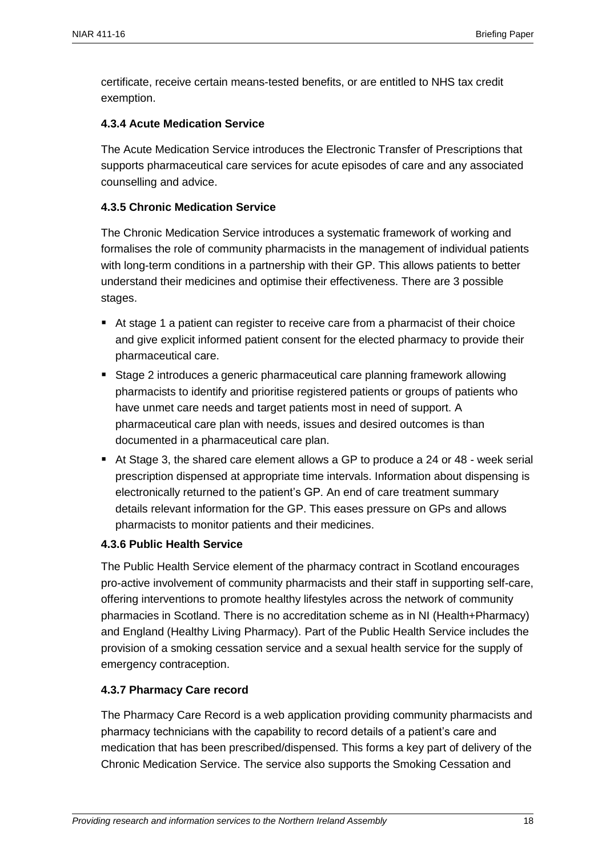certificate, receive certain means-tested benefits, or are entitled to NHS tax credit exemption.

#### **4.3.4 Acute Medication Service**

The Acute Medication Service introduces the Electronic Transfer of Prescriptions that supports pharmaceutical care services for acute episodes of care and any associated counselling and advice.

#### **4.3.5 Chronic Medication Service**

The Chronic Medication Service introduces a systematic framework of working and formalises the role of community pharmacists in the management of individual patients with long-term conditions in a partnership with their GP. This allows patients to better understand their medicines and optimise their effectiveness. There are 3 possible stages.

- At stage 1 a patient can register to receive care from a pharmacist of their choice and give explicit informed patient consent for the elected pharmacy to provide their pharmaceutical care.
- Stage 2 introduces a generic pharmaceutical care planning framework allowing pharmacists to identify and prioritise registered patients or groups of patients who have unmet care needs and target patients most in need of support. A pharmaceutical care plan with needs, issues and desired outcomes is than documented in a pharmaceutical care plan.
- At Stage 3, the shared care element allows a GP to produce a 24 or 48 week serial prescription dispensed at appropriate time intervals. Information about dispensing is electronically returned to the patient's GP. An end of care treatment summary details relevant information for the GP. This eases pressure on GPs and allows pharmacists to monitor patients and their medicines.

#### **4.3.6 Public Health Service**

The Public Health Service element of the pharmacy contract in Scotland encourages pro-active involvement of community pharmacists and their staff in supporting self-care, offering interventions to promote healthy lifestyles across the network of community pharmacies in Scotland. There is no accreditation scheme as in NI (Health+Pharmacy) and England (Healthy Living Pharmacy). Part of the Public Health Service includes the provision of a smoking cessation service and a sexual health service for the supply of emergency contraception.

#### **4.3.7 Pharmacy Care record**

The Pharmacy Care Record is a web application providing community pharmacists and pharmacy technicians with the capability to record details of a patient's care and medication that has been prescribed/dispensed. This forms a key part of delivery of the Chronic Medication Service. The service also supports the Smoking Cessation and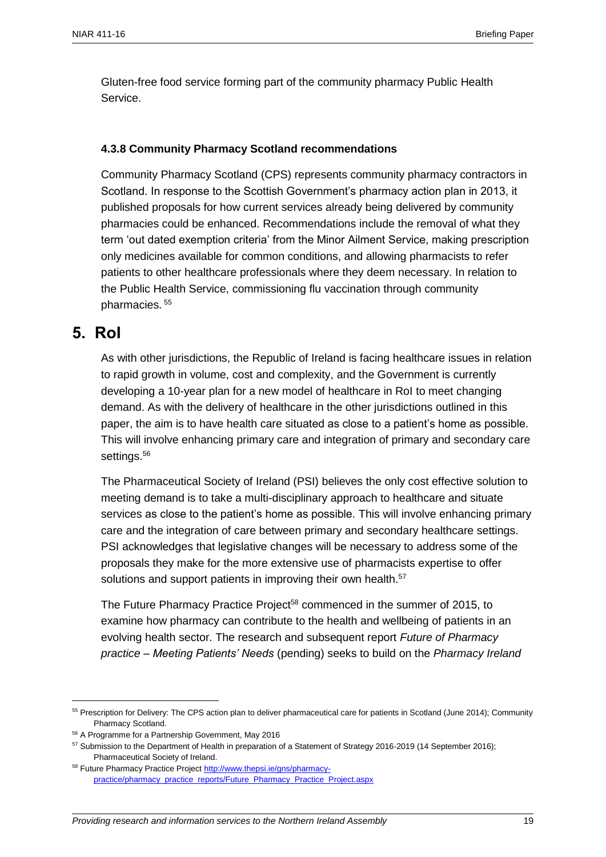Gluten-free food service forming part of the community pharmacy Public Health Service.

#### **4.3.8 Community Pharmacy Scotland recommendations**

Community Pharmacy Scotland (CPS) represents community pharmacy contractors in Scotland. In response to the Scottish Government's pharmacy action plan in 2013, it published proposals for how current services already being delivered by community pharmacies could be enhanced. Recommendations include the removal of what they term 'out dated exemption criteria' from the Minor Ailment Service, making prescription only medicines available for common conditions, and allowing pharmacists to refer patients to other healthcare professionals where they deem necessary. In relation to the Public Health Service, commissioning flu vaccination through community pharmacies. 55

### <span id="page-18-0"></span>**5. RoI**

 $\overline{a}$ 

As with other jurisdictions, the Republic of Ireland is facing healthcare issues in relation to rapid growth in volume, cost and complexity, and the Government is currently developing a 10-year plan for a new model of healthcare in RoI to meet changing demand. As with the delivery of healthcare in the other jurisdictions outlined in this paper, the aim is to have health care situated as close to a patient's home as possible. This will involve enhancing primary care and integration of primary and secondary care settings.<sup>56</sup>

The Pharmaceutical Society of Ireland (PSI) believes the only cost effective solution to meeting demand is to take a multi-disciplinary approach to healthcare and situate services as close to the patient's home as possible. This will involve enhancing primary care and the integration of care between primary and secondary healthcare settings. PSI acknowledges that legislative changes will be necessary to address some of the proposals they make for the more extensive use of pharmacists expertise to offer solutions and support patients in improving their own health.<sup>57</sup>

The Future Pharmacy Practice Project<sup>58</sup> commenced in the summer of 2015, to examine how pharmacy can contribute to the health and wellbeing of patients in an evolving health sector. The research and subsequent report *Future of Pharmacy practice – Meeting Patients' Needs* (pending) seeks to build on the *Pharmacy Ireland* 

<sup>55</sup> Prescription for Delivery: The CPS action plan to deliver pharmaceutical care for patients in Scotland (June 2014); Community Pharmacy Scotland.

<sup>56</sup> A Programme for a Partnership Government, May 2016

<sup>57</sup> Submission to the Department of Health in preparation of a Statement of Strategy 2016-2019 (14 September 2016); Pharmaceutical Society of Ireland.

<sup>58</sup> Future Pharmacy Practice Projec[t http://www.thepsi.ie/gns/pharmacy](http://www.thepsi.ie/gns/pharmacy-practice/pharmacy_practice_reports/Future_Pharmacy_Practice_Project.aspx)[practice/pharmacy\\_practice\\_reports/Future\\_Pharmacy\\_Practice\\_Project.aspx](http://www.thepsi.ie/gns/pharmacy-practice/pharmacy_practice_reports/Future_Pharmacy_Practice_Project.aspx)